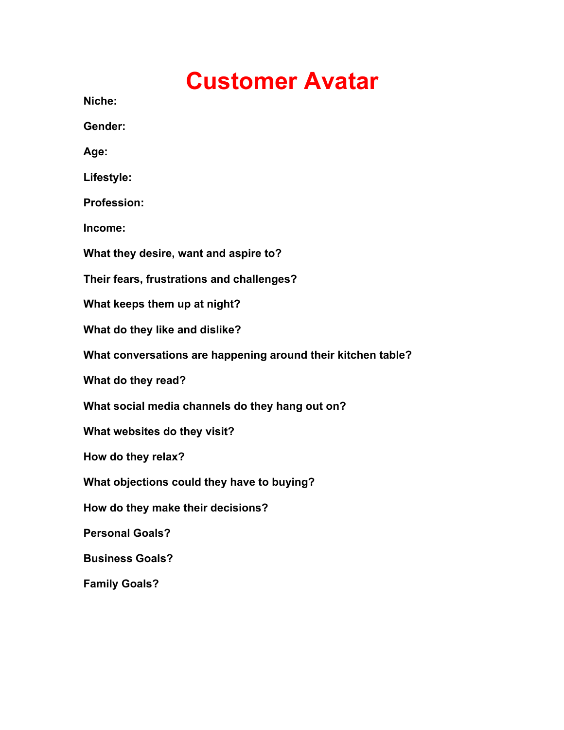# **Customer Avatar**

**Niche: Gender: Age: Lifestyle: Profession: Income: What they desire, want and aspire to? Their fears, frustrations and challenges? What keeps them up at night? What do they like and dislike? What conversations are happening around their kitchen table? What do they read? What social media channels do they hang out on? What websites do they visit? How do they relax? What objections could they have to buying? How do they make their decisions? Personal Goals? Business Goals? Family Goals?**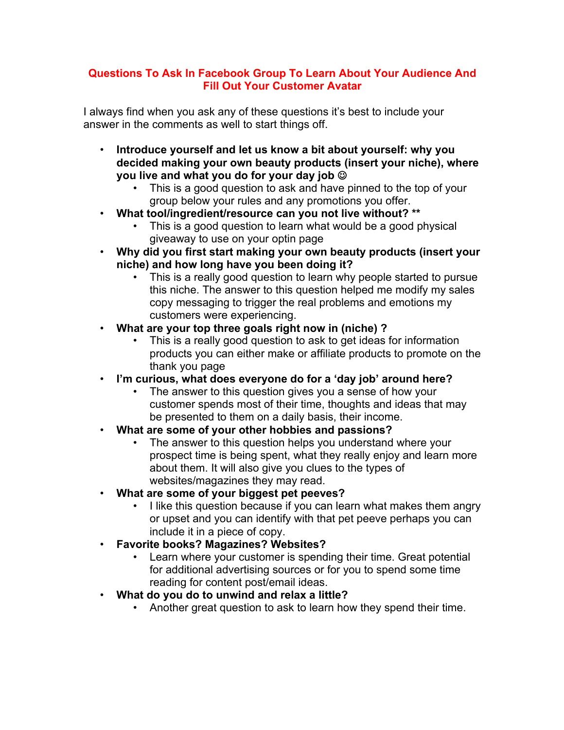### **Questions To Ask In Facebook Group To Learn About Your Audience And Fill Out Your Customer Avatar**

I always find when you ask any of these questions it's best to include your answer in the comments as well to start things off.

- **Introduce yourself and let us know a bit about yourself: why you decided making your own beauty products (insert your niche), where you live and what you do for your day job** 
	- This is a good question to ask and have pinned to the top of your group below your rules and any promotions you offer.
- **What tool/ingredient/resource can you not live without? \*\*** 
	- This is a good question to learn what would be a good physical giveaway to use on your optin page
- **Why did you first start making your own beauty products (insert your niche) and how long have you been doing it?** 
	- This is a really good question to learn why people started to pursue this niche. The answer to this question helped me modify my sales copy messaging to trigger the real problems and emotions my customers were experiencing.
- **What are your top three goals right now in (niche) ?** 
	- This is a really good question to ask to get ideas for information products you can either make or affiliate products to promote on the thank you page
- **I'm curious, what does everyone do for a 'day job' around here?**
	- The answer to this question gives you a sense of how your customer spends most of their time, thoughts and ideas that may be presented to them on a daily basis, their income.
- **What are some of your other hobbies and passions?** 
	- The answer to this question helps you understand where your prospect time is being spent, what they really enjoy and learn more about them. It will also give you clues to the types of websites/magazines they may read.
- **What are some of your biggest pet peeves?** 
	- I like this question because if you can learn what makes them angry or upset and you can identify with that pet peeve perhaps you can include it in a piece of copy.
- **Favorite books? Magazines? Websites?** 
	- Learn where your customer is spending their time. Great potential for additional advertising sources or for you to spend some time reading for content post/email ideas.
- **What do you do to unwind and relax a little?** 
	- Another great question to ask to learn how they spend their time.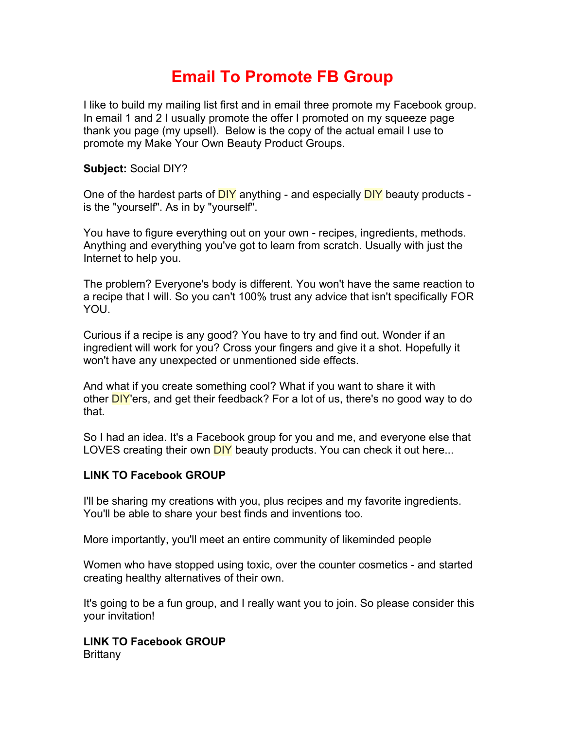### **Email To Promote FB Group**

I like to build my mailing list first and in email three promote my Facebook group. In email 1 and 2 I usually promote the offer I promoted on my squeeze page thank you page (my upsell). Below is the copy of the actual email I use to promote my Make Your Own Beauty Product Groups.

#### **Subject:** Social DIY?

One of the hardest parts of DIY anything - and especially DIY beauty products is the "yourself". As in by "yourself".

You have to figure everything out on your own - recipes, ingredients, methods. Anything and everything you've got to learn from scratch. Usually with just the Internet to help you.

The problem? Everyone's body is different. You won't have the same reaction to a recipe that I will. So you can't 100% trust any advice that isn't specifically FOR YOU.

Curious if a recipe is any good? You have to try and find out. Wonder if an ingredient will work for you? Cross your fingers and give it a shot. Hopefully it won't have any unexpected or unmentioned side effects.

And what if you create something cool? What if you want to share it with other **DIY**'ers, and get their feedback? For a lot of us, there's no good way to do that.

So I had an idea. It's a Facebook group for you and me, and everyone else that LOVES creating their own **DIY** beauty products. You can check it out here...

### **LINK TO Facebook GROUP**

I'll be sharing my creations with you, plus recipes and my favorite ingredients. You'll be able to share your best finds and inventions too.

More importantly, you'll meet an entire community of likeminded people

Women who have stopped using toxic, over the counter cosmetics - and started creating healthy alternatives of their own.

It's going to be a fun group, and I really want you to join. So please consider this your invitation!

#### **LINK TO Facebook GROUP Brittany**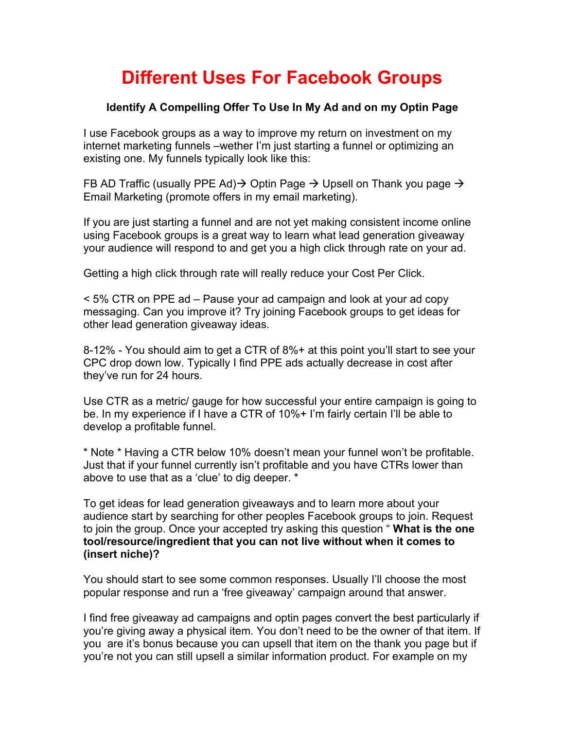## **Different Uses For Facebook Groups**

### **Identify A Compelling Offer To Use In My Ad and on my Optin Page**

I use Facebook groups as a way to improve my return on investment on my internet marketing funnels –wether I'm just starting a funnel or optimizing an existing one. My funnels typically look like this:

FB AD Traffic (usually PPE Ad)  $\rightarrow$  Optin Page  $\rightarrow$  Upsell on Thank you page  $\rightarrow$ Email Marketing (promote offers in my email marketing).

If you are just starting a funnel and are not yet making consistent income online using Facebook groups is a great way to learn what lead generation giveaway your audience will respond to and get you a high click through rate on your ad.

Getting a high click through rate will really reduce your Cost Per Click.

< 5% CTR on PPE ad – Pause your ad campaign and look at your ad copy messaging. Can you improve it? Try joining Facebook groups to get ideas for other lead generation giveaway ideas.

8-12% - You should aim to get a CTR of 8%+ at this point you'll start to see your CPC drop down low. Typically I find PPE ads actually decrease in cost after they've run for 24 hours.

Use CTR as a metric/ gauge for how successful your entire campaign is going to be. In my experience if I have a CTR of 10%+ I'm fairly certain I'll be able to develop a profitable funnel.

\* Note \* Having a CTR below 10% doesn't mean your funnel won't be profitable. Just that if your funnel currently isn't profitable and you have CTRs lower than above to use that as a 'clue' to dig deeper. \*

To get ideas for lead generation giveaways and to learn more about your audience start by searching for other peoples Facebook groups to join. Request to join the group. Once your accepted try asking this question " **What is the one tool/resource/ingredient that you can not live without when it comes to (insert niche)?** 

You should start to see some common responses. Usually I'll choose the most popular response and run a 'free giveaway' campaign around that answer.

I find free giveaway ad campaigns and optin pages convert the best particularly if you're giving away a physical item. You don't need to be the owner of that item. If you are it's bonus because you can upsell that item on the thank you page but if you're not you can still upsell a similar information product. For example on my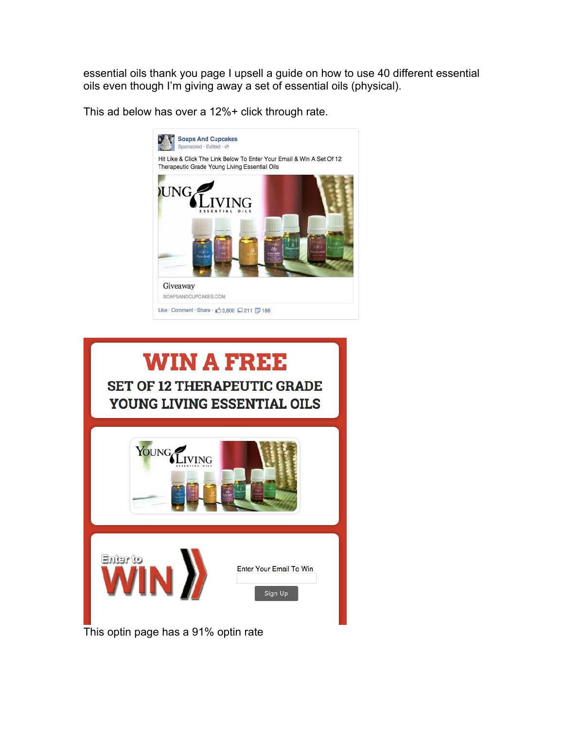essential oils thank you page I upsell a guide on how to use 40 different essential oils even though I'm giving away a set of essential oils (physical).

This ad below has over a 12%+ click through rate.





This optin page has a 91% optin rate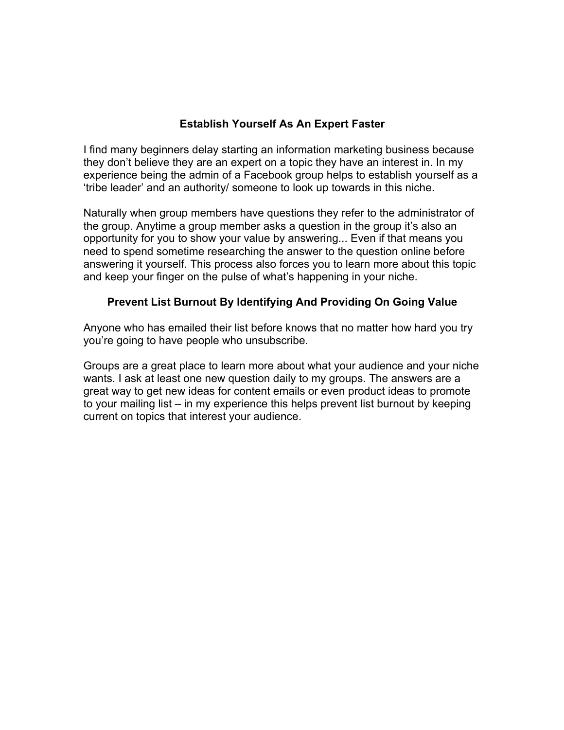### **Establish Yourself As An Expert Faster**

I find many beginners delay starting an information marketing business because they don't believe they are an expert on a topic they have an interest in. In my experience being the admin of a Facebook group helps to establish yourself as a 'tribe leader' and an authority/ someone to look up towards in this niche.

Naturally when group members have questions they refer to the administrator of the group. Anytime a group member asks a question in the group it's also an opportunity for you to show your value by answering... Even if that means you need to spend sometime researching the answer to the question online before answering it yourself. This process also forces you to learn more about this topic and keep your finger on the pulse of what's happening in your niche.

### **Prevent List Burnout By Identifying And Providing On Going Value**

Anyone who has emailed their list before knows that no matter how hard you try you're going to have people who unsubscribe.

Groups are a great place to learn more about what your audience and your niche wants. I ask at least one new question daily to my groups. The answers are a great way to get new ideas for content emails or even product ideas to promote to your mailing list – in my experience this helps prevent list burnout by keeping current on topics that interest your audience.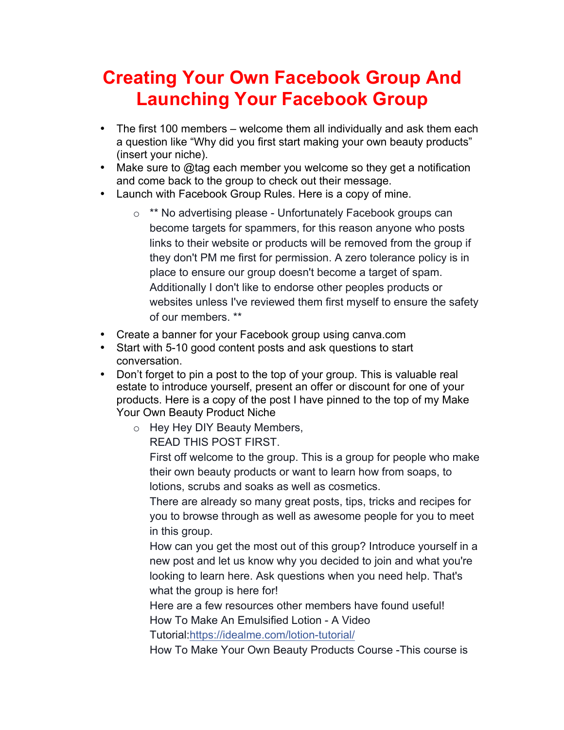## **Creating Your Own Facebook Group And Launching Your Facebook Group**

- The first 100 members welcome them all individually and ask them each a question like "Why did you first start making your own beauty products" (insert your niche).
- Make sure to @tag each member you welcome so they get a notification and come back to the group to check out their message.
- Launch with Facebook Group Rules. Here is a copy of mine.
	- o \*\* No advertising please Unfortunately Facebook groups can become targets for spammers, for this reason anyone who posts links to their website or products will be removed from the group if they don't PM me first for permission. A zero tolerance policy is in place to ensure our group doesn't become a target of spam. Additionally I don't like to endorse other peoples products or websites unless I've reviewed them first myself to ensure the safety of our members. \*\*
- Create a banner for your Facebook group using canva.com
- Start with 5-10 good content posts and ask questions to start conversation.
- Don't forget to pin a post to the top of your group. This is valuable real estate to introduce yourself, present an offer or discount for one of your products. Here is a copy of the post I have pinned to the top of my Make Your Own Beauty Product Niche
	- o Hey Hey DIY Beauty Members, READ THIS POST FIRST.

First off welcome to the group. This is a group for people who make their own beauty products or want to learn how from soaps, to lotions, scrubs and soaks as well as cosmetics.

There are already so many great posts, tips, tricks and recipes for you to browse through as well as awesome people for you to meet in this group.

How can you get the most out of this group? Introduce yourself in a new post and let us know why you decided to join and what you're looking to learn here. Ask questions when you need help. That's what the group is here for!

Here are a few resources other members have found useful! How To Make An Emulsified Lotion - A Video

Tutorial:https://idealme.com/lotion-tutorial/

How To Make Your Own Beauty Products Course -This course is